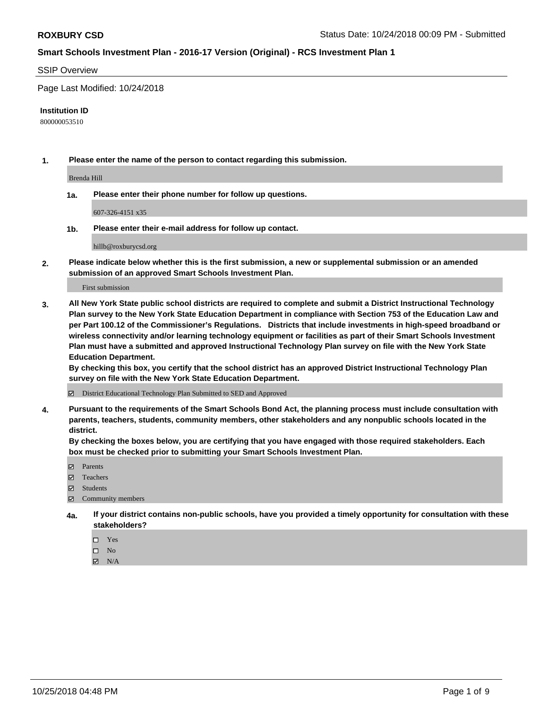#### SSIP Overview

Page Last Modified: 10/24/2018

#### **Institution ID**

800000053510

**1. Please enter the name of the person to contact regarding this submission.**

Brenda Hill

**1a. Please enter their phone number for follow up questions.**

607-326-4151 x35

**1b. Please enter their e-mail address for follow up contact.**

hillb@roxburycsd.org

**2. Please indicate below whether this is the first submission, a new or supplemental submission or an amended submission of an approved Smart Schools Investment Plan.**

First submission

**3. All New York State public school districts are required to complete and submit a District Instructional Technology Plan survey to the New York State Education Department in compliance with Section 753 of the Education Law and per Part 100.12 of the Commissioner's Regulations. Districts that include investments in high-speed broadband or wireless connectivity and/or learning technology equipment or facilities as part of their Smart Schools Investment Plan must have a submitted and approved Instructional Technology Plan survey on file with the New York State Education Department.** 

**By checking this box, you certify that the school district has an approved District Instructional Technology Plan survey on file with the New York State Education Department.**

District Educational Technology Plan Submitted to SED and Approved

**4. Pursuant to the requirements of the Smart Schools Bond Act, the planning process must include consultation with parents, teachers, students, community members, other stakeholders and any nonpublic schools located in the district.** 

**By checking the boxes below, you are certifying that you have engaged with those required stakeholders. Each box must be checked prior to submitting your Smart Schools Investment Plan.**

- **□** Parents
- Teachers
- Students
- $\boxtimes$  Community members
- **4a. If your district contains non-public schools, have you provided a timely opportunity for consultation with these stakeholders?**
	- $\Box$  Yes
	- $\qquad \qquad$  No
	- $\blacksquare$  N/A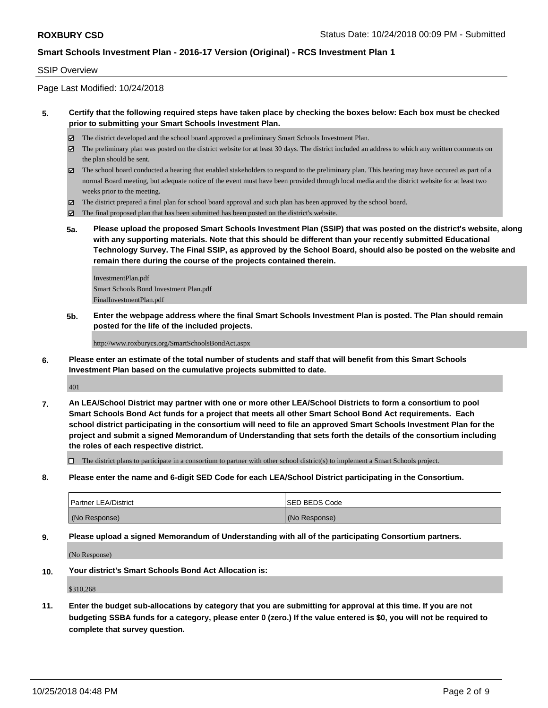### SSIP Overview

Page Last Modified: 10/24/2018

### **5. Certify that the following required steps have taken place by checking the boxes below: Each box must be checked prior to submitting your Smart Schools Investment Plan.**

- The district developed and the school board approved a preliminary Smart Schools Investment Plan.
- $\boxtimes$  The preliminary plan was posted on the district website for at least 30 days. The district included an address to which any written comments on the plan should be sent.
- $\boxtimes$  The school board conducted a hearing that enabled stakeholders to respond to the preliminary plan. This hearing may have occured as part of a normal Board meeting, but adequate notice of the event must have been provided through local media and the district website for at least two weeks prior to the meeting.
- The district prepared a final plan for school board approval and such plan has been approved by the school board.
- $\boxtimes$  The final proposed plan that has been submitted has been posted on the district's website.
- **5a. Please upload the proposed Smart Schools Investment Plan (SSIP) that was posted on the district's website, along with any supporting materials. Note that this should be different than your recently submitted Educational Technology Survey. The Final SSIP, as approved by the School Board, should also be posted on the website and remain there during the course of the projects contained therein.**

InvestmentPlan.pdf Smart Schools Bond Investment Plan.pdf FinalInvestmentPlan.pdf

**5b. Enter the webpage address where the final Smart Schools Investment Plan is posted. The Plan should remain posted for the life of the included projects.**

http://www.roxburycs.org/SmartSchoolsBondAct.aspx

**6. Please enter an estimate of the total number of students and staff that will benefit from this Smart Schools Investment Plan based on the cumulative projects submitted to date.**

401

**7. An LEA/School District may partner with one or more other LEA/School Districts to form a consortium to pool Smart Schools Bond Act funds for a project that meets all other Smart School Bond Act requirements. Each school district participating in the consortium will need to file an approved Smart Schools Investment Plan for the project and submit a signed Memorandum of Understanding that sets forth the details of the consortium including the roles of each respective district.**

 $\Box$  The district plans to participate in a consortium to partner with other school district(s) to implement a Smart Schools project.

**8. Please enter the name and 6-digit SED Code for each LEA/School District participating in the Consortium.**

| <b>Partner LEA/District</b> | ISED BEDS Code |
|-----------------------------|----------------|
| (No Response)               | (No Response)  |

**9. Please upload a signed Memorandum of Understanding with all of the participating Consortium partners.**

(No Response)

**10. Your district's Smart Schools Bond Act Allocation is:**

\$310,268

**11. Enter the budget sub-allocations by category that you are submitting for approval at this time. If you are not budgeting SSBA funds for a category, please enter 0 (zero.) If the value entered is \$0, you will not be required to complete that survey question.**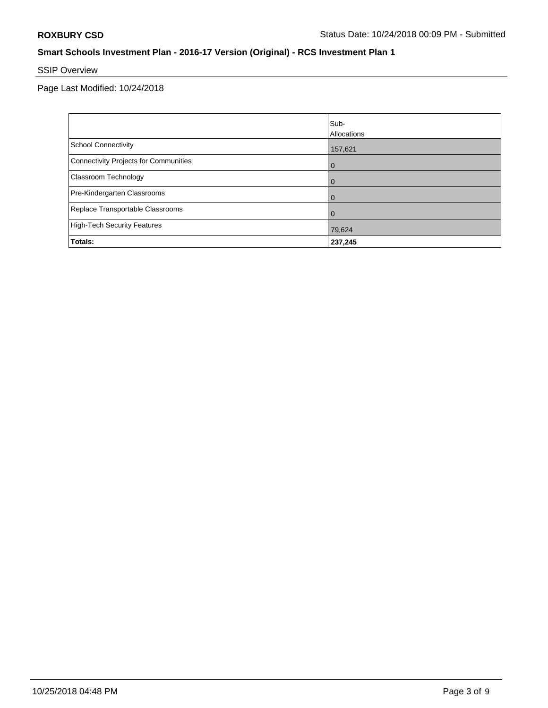# SSIP Overview

Page Last Modified: 10/24/2018

|                                       | Sub-<br><b>Allocations</b> |
|---------------------------------------|----------------------------|
| School Connectivity                   | 157,621                    |
| Connectivity Projects for Communities | $\overline{0}$             |
| <b>Classroom Technology</b>           | $\overline{0}$             |
| Pre-Kindergarten Classrooms           | $\overline{0}$             |
| Replace Transportable Classrooms      | $\Omega$                   |
| High-Tech Security Features           | 79,624                     |
| Totals:                               | 237,245                    |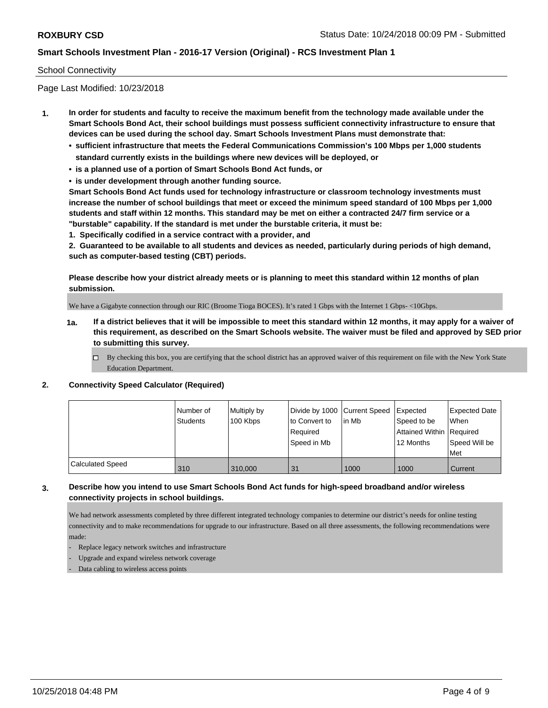### School Connectivity

Page Last Modified: 10/23/2018

- **1. In order for students and faculty to receive the maximum benefit from the technology made available under the Smart Schools Bond Act, their school buildings must possess sufficient connectivity infrastructure to ensure that devices can be used during the school day. Smart Schools Investment Plans must demonstrate that:**
	- **• sufficient infrastructure that meets the Federal Communications Commission's 100 Mbps per 1,000 students standard currently exists in the buildings where new devices will be deployed, or**
	- **• is a planned use of a portion of Smart Schools Bond Act funds, or**
	- **• is under development through another funding source.**

**Smart Schools Bond Act funds used for technology infrastructure or classroom technology investments must increase the number of school buildings that meet or exceed the minimum speed standard of 100 Mbps per 1,000 students and staff within 12 months. This standard may be met on either a contracted 24/7 firm service or a "burstable" capability. If the standard is met under the burstable criteria, it must be:**

**1. Specifically codified in a service contract with a provider, and**

**2. Guaranteed to be available to all students and devices as needed, particularly during periods of high demand, such as computer-based testing (CBT) periods.**

**Please describe how your district already meets or is planning to meet this standard within 12 months of plan submission.**

We have a Gigabyte connection through our RIC (Broome Tioga BOCES). It's rated 1 Gbps with the Internet 1 Gbps- <10Gbps.

- **1a. If a district believes that it will be impossible to meet this standard within 12 months, it may apply for a waiver of this requirement, as described on the Smart Schools website. The waiver must be filed and approved by SED prior to submitting this survey.**
	- By checking this box, you are certifying that the school district has an approved waiver of this requirement on file with the New York State Education Department.

#### **2. Connectivity Speed Calculator (Required)**

|                         | Number of<br>Students | Multiply by<br>100 Kbps | Divide by 1000 Current Speed<br>to Convert to<br>Required<br>Speed in Mb | l in Mb | Expected<br>Speed to be<br>Attained Within Required<br>12 Months | <b>Expected Date</b><br>When<br>Speed Will be<br><b>Met</b> |
|-------------------------|-----------------------|-------------------------|--------------------------------------------------------------------------|---------|------------------------------------------------------------------|-------------------------------------------------------------|
| <b>Calculated Speed</b> | 310                   | 310,000                 | 31                                                                       | 1000    | 1000                                                             | Current                                                     |

## **3. Describe how you intend to use Smart Schools Bond Act funds for high-speed broadband and/or wireless connectivity projects in school buildings.**

We had network assessments completed by three different integrated technology companies to determine our district's needs for online testing connectivity and to make recommendations for upgrade to our infrastructure. Based on all three assessments, the following recommendations were made:

- Replace legacy network switches and infrastructure
- Upgrade and expand wireless network coverage
- Data cabling to wireless access points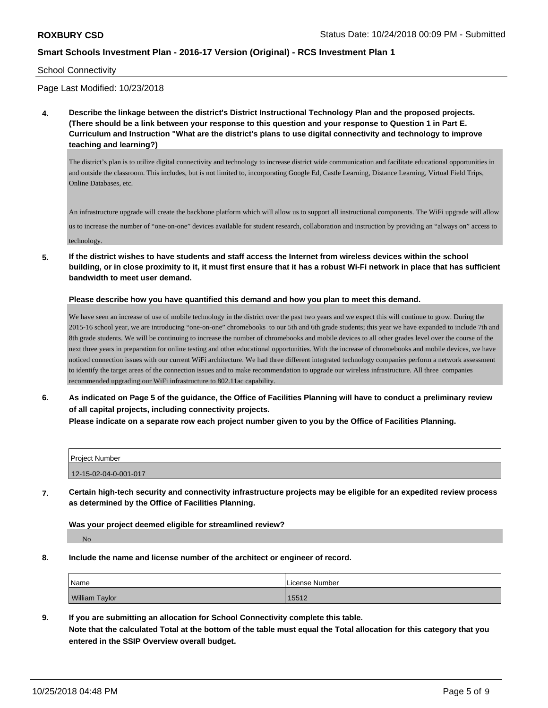School Connectivity

Page Last Modified: 10/23/2018

**4. Describe the linkage between the district's District Instructional Technology Plan and the proposed projects. (There should be a link between your response to this question and your response to Question 1 in Part E. Curriculum and Instruction "What are the district's plans to use digital connectivity and technology to improve teaching and learning?)**

The district's plan is to utilize digital connectivity and technology to increase district wide communication and facilitate educational opportunities in and outside the classroom. This includes, but is not limited to, incorporating Google Ed, Castle Learning, Distance Learning, Virtual Field Trips, Online Databases, etc.

An infrastructure upgrade will create the backbone platform which will allow us to support all instructional components. The WiFi upgrade will allow us to increase the number of "one-on-one" devices available for student research, collaboration and instruction by providing an "always on" access to

technology.

**5. If the district wishes to have students and staff access the Internet from wireless devices within the school building, or in close proximity to it, it must first ensure that it has a robust Wi-Fi network in place that has sufficient bandwidth to meet user demand.**

#### **Please describe how you have quantified this demand and how you plan to meet this demand.**

We have seen an increase of use of mobile technology in the district over the past two years and we expect this will continue to grow. During the 2015-16 school year, we are introducing "one-on-one" chromebooks to our 5th and 6th grade students; this year we have expanded to include 7th and 8th grade students. We will be continuing to increase the number of chromebooks and mobile devices to all other grades level over the course of the next three years in preparation for online testing and other educational opportunities. With the increase of chromebooks and mobile devices, we have noticed connection issues with our current WiFi architecture. We had three different integrated technology companies perform a network assessment to identify the target areas of the connection issues and to make recommendation to upgrade our wireless infrastructure. All three companies recommended upgrading our WiFi infrastructure to 802.11ac capability.

**6. As indicated on Page 5 of the guidance, the Office of Facilities Planning will have to conduct a preliminary review of all capital projects, including connectivity projects.**

**Please indicate on a separate row each project number given to you by the Office of Facilities Planning.**

| <b>Project Number</b> |  |
|-----------------------|--|
| 12-15-02-04-0-001-017 |  |

**7. Certain high-tech security and connectivity infrastructure projects may be eligible for an expedited review process as determined by the Office of Facilities Planning.**

#### **Was your project deemed eligible for streamlined review?**

No

**8. Include the name and license number of the architect or engineer of record.**

| 'Name                 | License Number |
|-----------------------|----------------|
| <b>William Taylor</b> | 15512          |

**9. If you are submitting an allocation for School Connectivity complete this table.**

**Note that the calculated Total at the bottom of the table must equal the Total allocation for this category that you entered in the SSIP Overview overall budget.**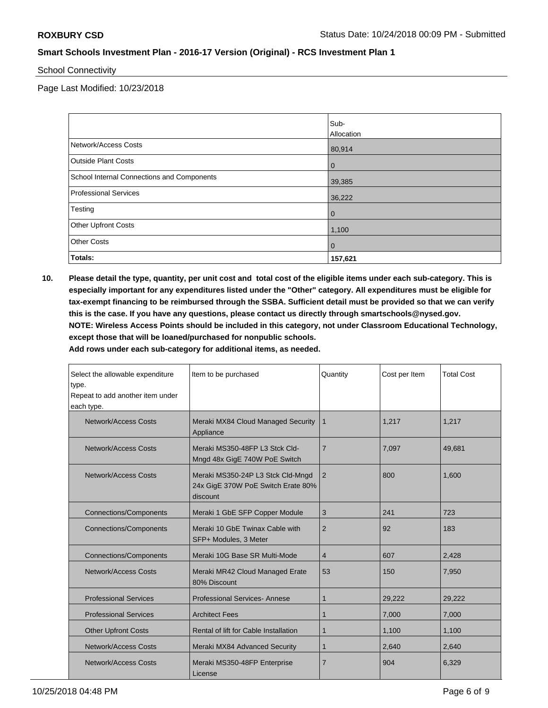School Connectivity

Page Last Modified: 10/23/2018

|                                            | Sub-<br>Allocation |
|--------------------------------------------|--------------------|
| Network/Access Costs                       | 80,914             |
| <b>Outside Plant Costs</b>                 | $\overline{0}$     |
| School Internal Connections and Components | 39,385             |
| Professional Services                      | 36,222             |
| Testing                                    | $\mathbf 0$        |
| <b>Other Upfront Costs</b>                 | 1,100              |
| <b>Other Costs</b>                         | $\mathbf 0$        |
| Totals:                                    | 157,621            |

**10. Please detail the type, quantity, per unit cost and total cost of the eligible items under each sub-category. This is especially important for any expenditures listed under the "Other" category. All expenditures must be eligible for tax-exempt financing to be reimbursed through the SSBA. Sufficient detail must be provided so that we can verify this is the case. If you have any questions, please contact us directly through smartschools@nysed.gov. NOTE: Wireless Access Points should be included in this category, not under Classroom Educational Technology, except those that will be loaned/purchased for nonpublic schools.**

**Add rows under each sub-category for additional items, as needed.**

| Select the allowable expenditure<br>type.<br>Repeat to add another item under | Item to be purchased                                                                | Quantity       | Cost per Item | <b>Total Cost</b> |
|-------------------------------------------------------------------------------|-------------------------------------------------------------------------------------|----------------|---------------|-------------------|
| each type.                                                                    |                                                                                     |                |               |                   |
| <b>Network/Access Costs</b>                                                   | Meraki MX84 Cloud Managed Security<br>Appliance                                     | $\mathbf 1$    | 1,217         | 1,217             |
| Network/Access Costs                                                          | Meraki MS350-48FP L3 Stck Cld-<br>Mngd 48x GigE 740W PoE Switch                     | $\overline{7}$ | 7,097         | 49,681            |
| Network/Access Costs                                                          | Meraki MS350-24P L3 Stck Cld-Mngd<br>24x GigE 370W PoE Switch Erate 80%<br>discount | 2              | 800           | 1.600             |
| <b>Connections/Components</b>                                                 | Meraki 1 GbE SFP Copper Module                                                      | 3              | 241           | 723               |
| <b>Connections/Components</b>                                                 | Meraki 10 GbE Twinax Cable with<br>SFP+ Modules, 3 Meter                            | 2              | 92            | 183               |
| <b>Connections/Components</b>                                                 | Meraki 10G Base SR Multi-Mode                                                       | $\overline{4}$ | 607           | 2,428             |
| <b>Network/Access Costs</b>                                                   | Meraki MR42 Cloud Managed Erate<br>80% Discount                                     | 53             | 150           | 7,950             |
| <b>Professional Services</b>                                                  | Professional Services-Annese                                                        | 1              | 29,222        | 29,222            |
| <b>Professional Services</b>                                                  | <b>Architect Fees</b>                                                               | 1              | 7,000         | 7,000             |
| <b>Other Upfront Costs</b>                                                    | Rental of lift for Cable Installation                                               | 1              | 1,100         | 1,100             |
| Network/Access Costs                                                          | Meraki MX84 Advanced Security                                                       | 1              | 2,640         | 2,640             |
| Network/Access Costs                                                          | Meraki MS350-48FP Enterprise<br>License                                             | $\overline{7}$ | 904           | 6,329             |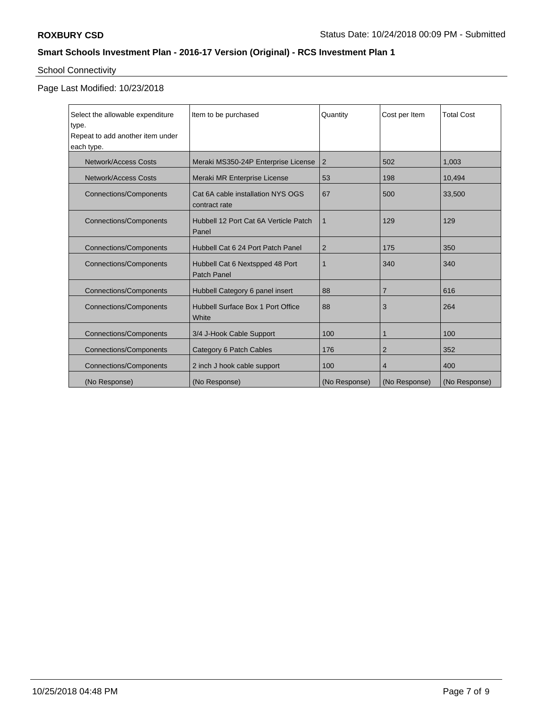# School Connectivity

# Page Last Modified: 10/23/2018

| Select the allowable expenditure<br>type. | Item to be purchased                                  | Quantity       | Cost per Item  | <b>Total Cost</b> |
|-------------------------------------------|-------------------------------------------------------|----------------|----------------|-------------------|
| Repeat to add another item under          |                                                       |                |                |                   |
| each type.                                |                                                       |                |                |                   |
| <b>Network/Access Costs</b>               | Meraki MS350-24P Enterprise License                   | $\overline{2}$ | 502            | 1,003             |
| <b>Network/Access Costs</b>               | Meraki MR Enterprise License                          | 53             | 198            | 10,494            |
| <b>Connections/Components</b>             | Cat 6A cable installation NYS OGS<br>contract rate    | 67             | 500            | 33,500            |
| <b>Connections/Components</b>             | Hubbell 12 Port Cat 6A Verticle Patch<br>Panel        | $\overline{1}$ | 129            | 129               |
| <b>Connections/Components</b>             | Hubbell Cat 6 24 Port Patch Panel                     | $\overline{2}$ | 175            | 350               |
| <b>Connections/Components</b>             | Hubbell Cat 6 Nextspped 48 Port<br><b>Patch Panel</b> | 1              | 340            | 340               |
| <b>Connections/Components</b>             | Hubbell Category 6 panel insert                       | 88             | $\overline{7}$ | 616               |
| <b>Connections/Components</b>             | Hubbell Surface Box 1 Port Office<br>White            | 88             | 3              | 264               |
| <b>Connections/Components</b>             | 3/4 J-Hook Cable Support                              | 100            |                | 100               |
| <b>Connections/Components</b>             | Category 6 Patch Cables                               | 176            | 2              | 352               |
| <b>Connections/Components</b>             | 2 inch J hook cable support                           | 100            | $\overline{4}$ | 400               |
| (No Response)                             | (No Response)                                         | (No Response)  | (No Response)  | (No Response)     |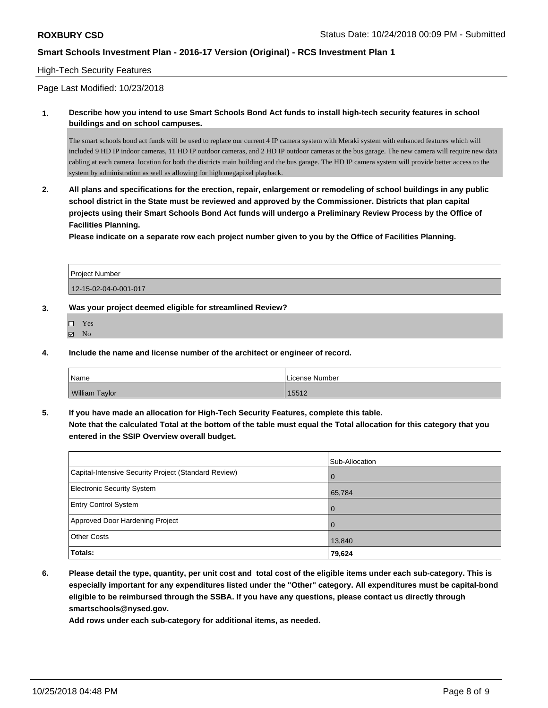#### High-Tech Security Features

Page Last Modified: 10/23/2018

**1. Describe how you intend to use Smart Schools Bond Act funds to install high-tech security features in school buildings and on school campuses.**

The smart schools bond act funds will be used to replace our current 4 IP camera system with Meraki system with enhanced features which will included 9 HD IP indoor cameras, 11 HD IP outdoor cameras, and 2 HD IP outdoor cameras at the bus garage. The new camera will require new data cabling at each camera location for both the district s main building and the bus garage. The HD IP camera system will provide better access to the system by administration as well as allowing for high megapixel playback.

**2. All plans and specifications for the erection, repair, enlargement or remodeling of school buildings in any public school district in the State must be reviewed and approved by the Commissioner. Districts that plan capital projects using their Smart Schools Bond Act funds will undergo a Preliminary Review Process by the Office of Facilities Planning.** 

**Please indicate on a separate row each project number given to you by the Office of Facilities Planning.**

| <b>Project Number</b> |  |
|-----------------------|--|
| 12-15-02-04-0-001-017 |  |

- **3. Was your project deemed eligible for streamlined Review?**
	- Yes
	- $\boxtimes$  No
- **4. Include the name and license number of the architect or engineer of record.**

| <sup>'</sup> Name     | License Number |
|-----------------------|----------------|
| <b>William Taylor</b> | 15512          |

**5. If you have made an allocation for High-Tech Security Features, complete this table.**

**Note that the calculated Total at the bottom of the table must equal the Total allocation for this category that you entered in the SSIP Overview overall budget.**

|                                                      | Sub-Allocation |
|------------------------------------------------------|----------------|
| Capital-Intensive Security Project (Standard Review) | $\overline{0}$ |
| <b>Electronic Security System</b>                    | 65,784         |
| <b>Entry Control System</b>                          | $\Omega$       |
| Approved Door Hardening Project                      | $\Omega$       |
| <b>Other Costs</b>                                   | 13,840         |
| Totals:                                              | 79,624         |

**6. Please detail the type, quantity, per unit cost and total cost of the eligible items under each sub-category. This is especially important for any expenditures listed under the "Other" category. All expenditures must be capital-bond eligible to be reimbursed through the SSBA. If you have any questions, please contact us directly through smartschools@nysed.gov.**

**Add rows under each sub-category for additional items, as needed.**